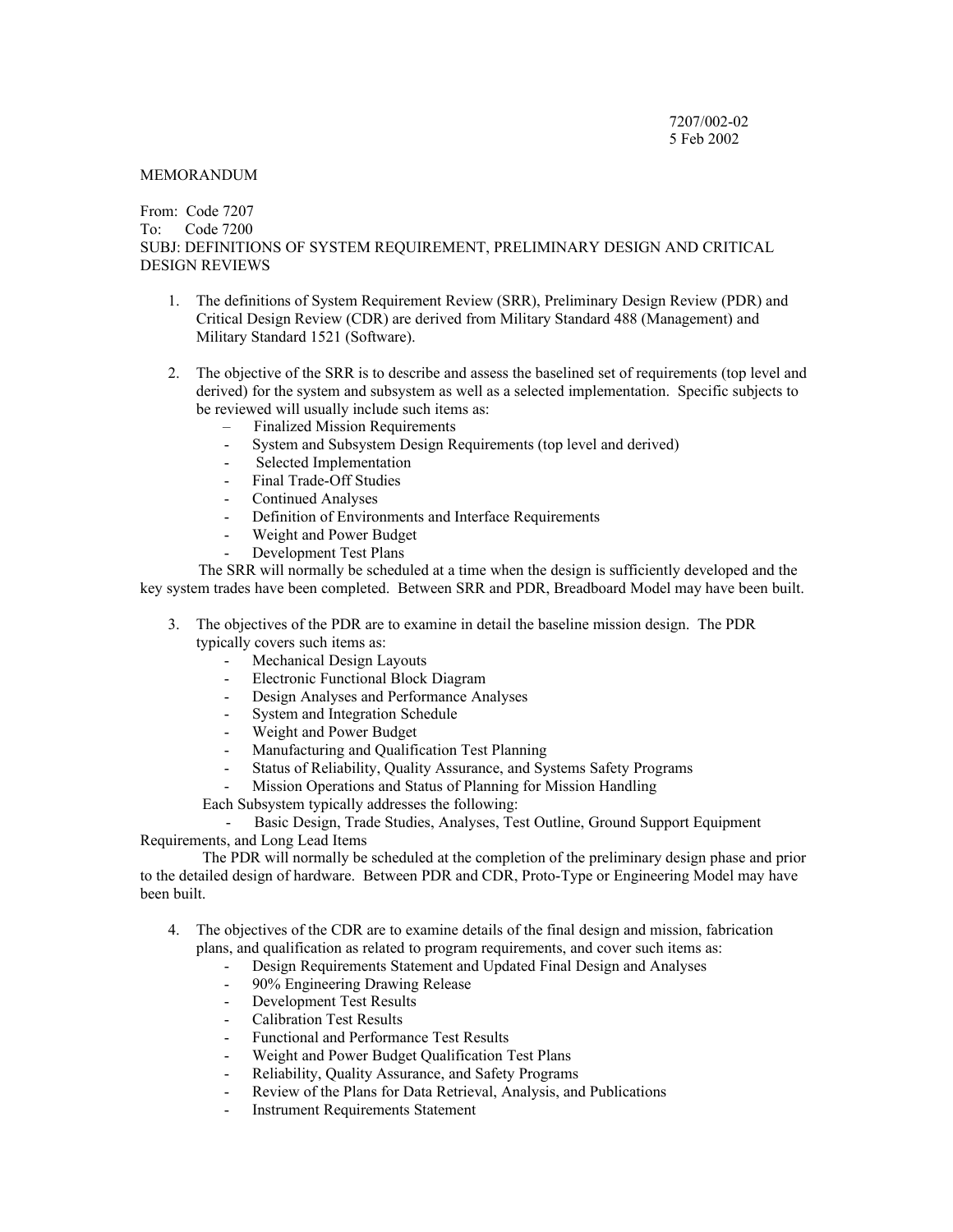## MEMORANDUM

## From: Code 7207 To: Code 7200 SUBJ: DEFINITIONS OF SYSTEM REQUIREMENT, PRELIMINARY DESIGN AND CRITICAL DESIGN REVIEWS

- 1. The definitions of System Requirement Review (SRR), Preliminary Design Review (PDR) and Critical Design Review (CDR) are derived from Military Standard 488 (Management) and Military Standard 1521 (Software).
- 2. The objective of the SRR is to describe and assess the baselined set of requirements (top level and derived) for the system and subsystem as well as a selected implementation. Specific subjects to be reviewed will usually include such items as:
	- Finalized Mission Requirements
	- System and Subsystem Design Requirements (top level and derived)
	- Selected Implementation
	- Final Trade-Off Studies
	- Continued Analyses
	- Definition of Environments and Interface Requirements
	- Weight and Power Budget
	- Development Test Plans

 The SRR will normally be scheduled at a time when the design is sufficiently developed and the key system trades have been completed. Between SRR and PDR, Breadboard Model may have been built.

- 3. The objectives of the PDR are to examine in detail the baseline mission design. The PDR typically covers such items as:
	- Mechanical Design Layouts
	- Electronic Functional Block Diagram
	- Design Analyses and Performance Analyses
	- System and Integration Schedule
	- Weight and Power Budget
	- Manufacturing and Qualification Test Planning
	- Status of Reliability, Quality Assurance, and Systems Safety Programs
	- Mission Operations and Status of Planning for Mission Handling

Each Subsystem typically addresses the following:

## - Basic Design, Trade Studies, Analyses, Test Outline, Ground Support Equipment

Requirements, and Long Lead Items

 The PDR will normally be scheduled at the completion of the preliminary design phase and prior to the detailed design of hardware. Between PDR and CDR, Proto-Type or Engineering Model may have been built.

- 4. The objectives of the CDR are to examine details of the final design and mission, fabrication plans, and qualification as related to program requirements, and cover such items as:
	- Design Requirements Statement and Updated Final Design and Analyses
	- 90% Engineering Drawing Release
	- Development Test Results
	- Calibration Test Results
	- Functional and Performance Test Results
	- Weight and Power Budget Qualification Test Plans
	- Reliability, Quality Assurance, and Safety Programs
	- Review of the Plans for Data Retrieval, Analysis, and Publications
	- **Instrument Requirements Statement**